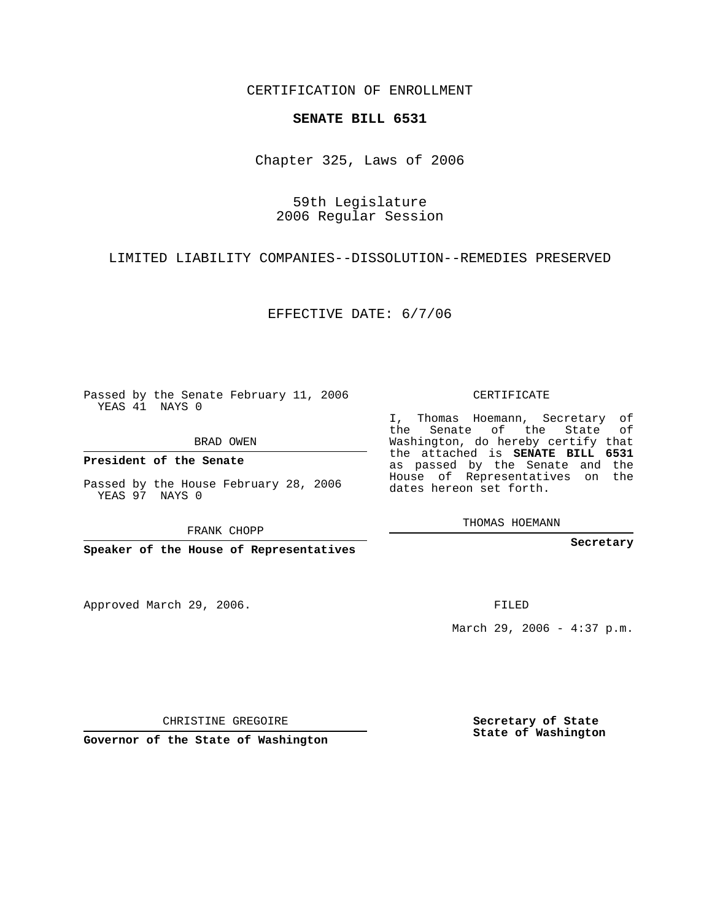CERTIFICATION OF ENROLLMENT

## **SENATE BILL 6531**

Chapter 325, Laws of 2006

## 59th Legislature 2006 Regular Session

LIMITED LIABILITY COMPANIES--DISSOLUTION--REMEDIES PRESERVED

EFFECTIVE DATE: 6/7/06

Passed by the Senate February 11, 2006 YEAS 41 NAYS 0

BRAD OWEN

**President of the Senate**

Passed by the House February 28, 2006 YEAS 97 NAYS 0

FRANK CHOPP

**Speaker of the House of Representatives**

Approved March 29, 2006.

CERTIFICATE

I, Thomas Hoemann, Secretary of the Senate of the State of Washington, do hereby certify that the attached is **SENATE BILL 6531** as passed by the Senate and the House of Representatives on the dates hereon set forth.

THOMAS HOEMANN

**Secretary**

FILED

March 29, 2006 - 4:37 p.m.

CHRISTINE GREGOIRE

**Governor of the State of Washington**

**Secretary of State State of Washington**